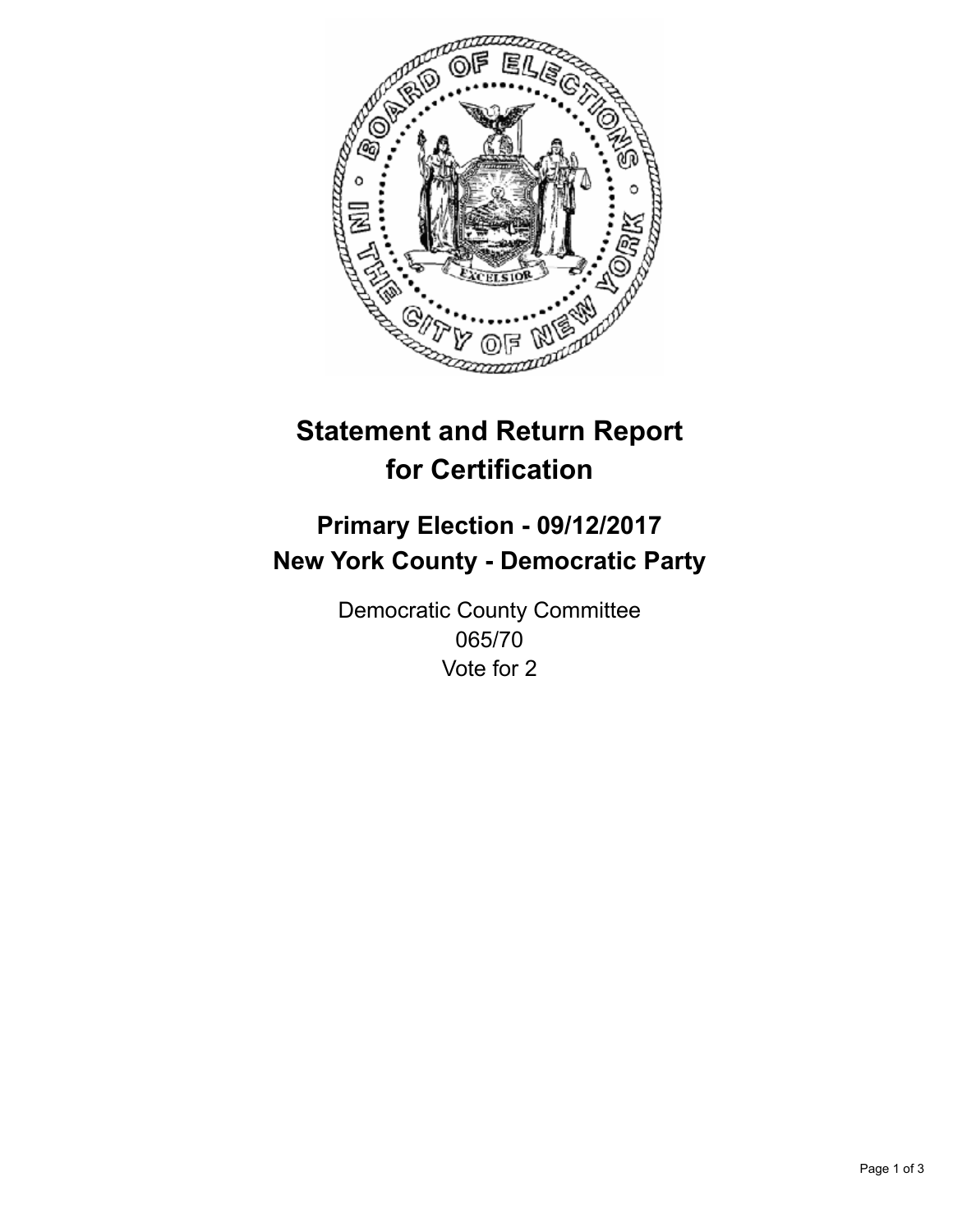

## **Statement and Return Report for Certification**

## **Primary Election - 09/12/2017 New York County - Democratic Party**

Democratic County Committee 065/70 Vote for 2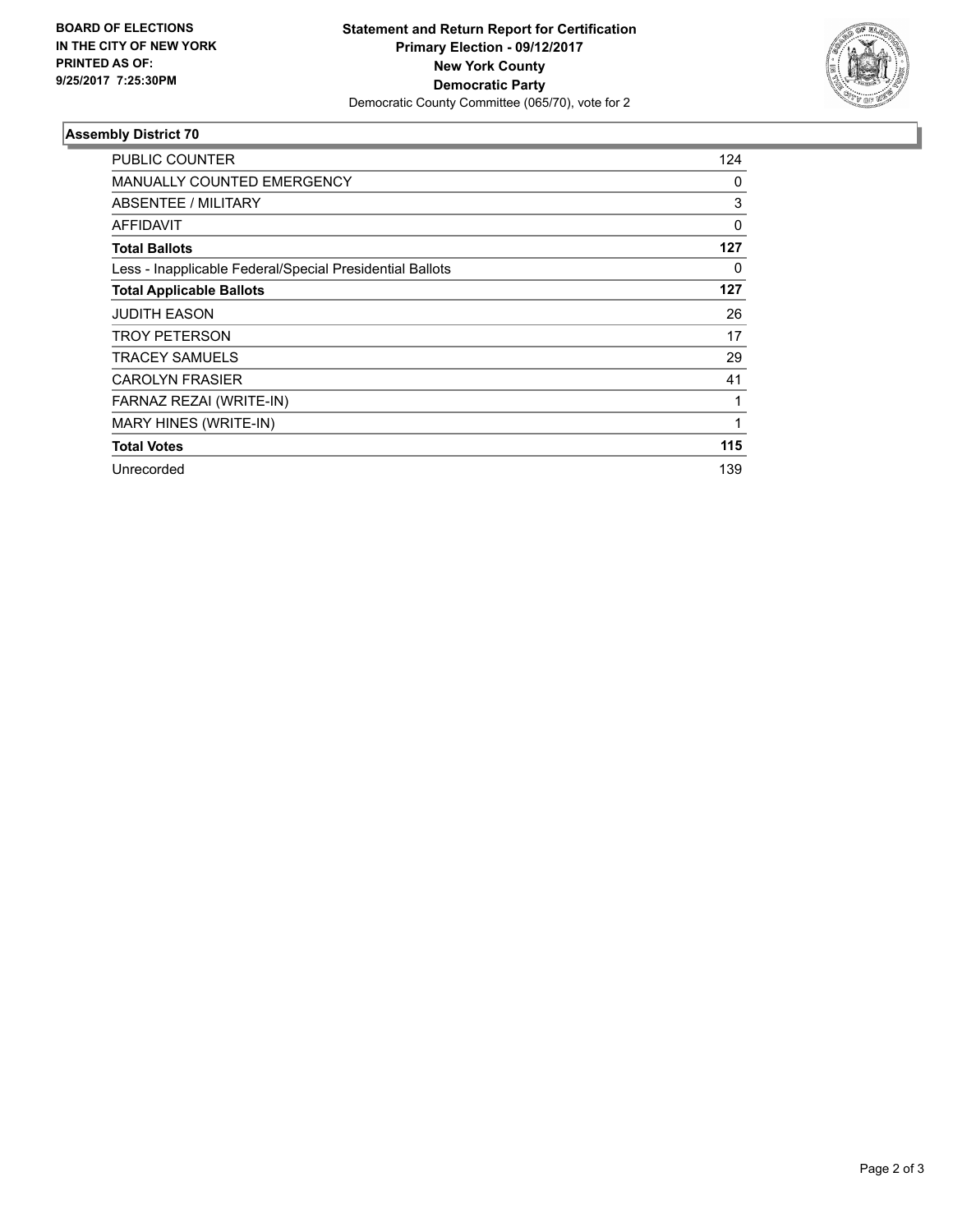

## **Assembly District 70**

| PUBLIC COUNTER                                           | 124 |
|----------------------------------------------------------|-----|
| <b>MANUALLY COUNTED EMERGENCY</b>                        | 0   |
| ABSENTEE / MILITARY                                      | 3   |
| <b>AFFIDAVIT</b>                                         | 0   |
| <b>Total Ballots</b>                                     | 127 |
| Less - Inapplicable Federal/Special Presidential Ballots | 0   |
| <b>Total Applicable Ballots</b>                          | 127 |
| <b>JUDITH EASON</b>                                      | 26  |
| <b>TROY PETERSON</b>                                     | 17  |
| <b>TRACEY SAMUELS</b>                                    | 29  |
| <b>CAROLYN FRASIER</b>                                   | 41  |
| FARNAZ REZAI (WRITE-IN)                                  | 1   |
| MARY HINES (WRITE-IN)                                    | 1   |
| <b>Total Votes</b>                                       | 115 |
| Unrecorded                                               | 139 |